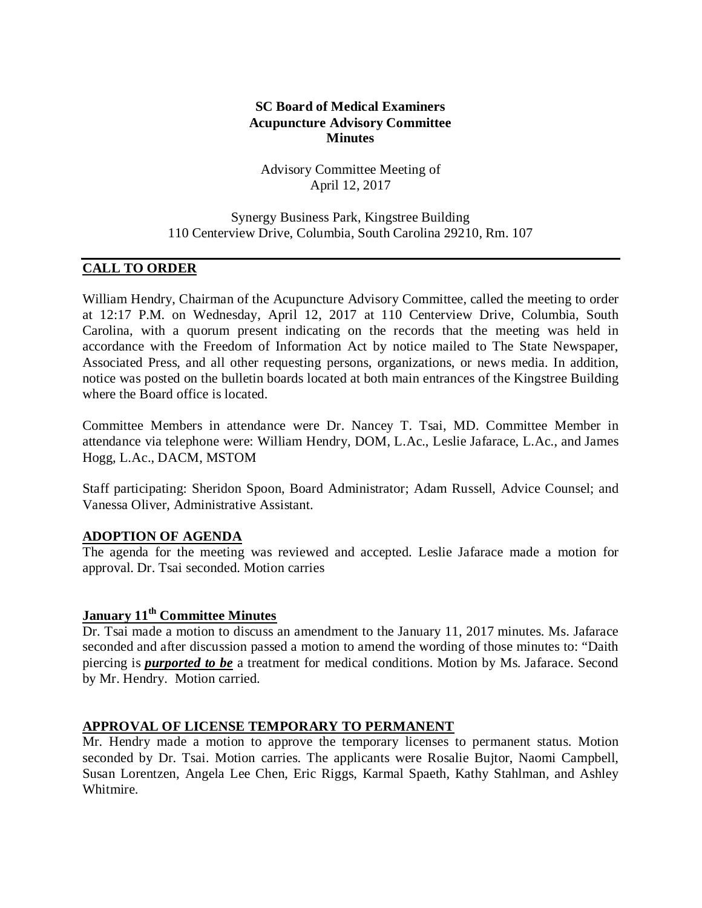## **SC Board of Medical Examiners Acupuncture Advisory Committee Minutes**

Advisory Committee Meeting of April 12, 2017

Synergy Business Park, Kingstree Building 110 Centerview Drive, Columbia, South Carolina 29210, Rm. 107

# **CALL TO ORDER**

William Hendry, Chairman of the Acupuncture Advisory Committee, called the meeting to order at 12:17 P.M. on Wednesday, April 12, 2017 at 110 Centerview Drive, Columbia, South Carolina, with a quorum present indicating on the records that the meeting was held in accordance with the Freedom of Information Act by notice mailed to The State Newspaper, Associated Press, and all other requesting persons, organizations, or news media. In addition, notice was posted on the bulletin boards located at both main entrances of the Kingstree Building where the Board office is located.

Committee Members in attendance were Dr. Nancey T. Tsai, MD. Committee Member in attendance via telephone were: William Hendry, DOM, L.Ac., Leslie Jafarace, L.Ac., and James Hogg, L.Ac., DACM, MSTOM

Staff participating: Sheridon Spoon, Board Administrator; Adam Russell, Advice Counsel; and Vanessa Oliver, Administrative Assistant.

#### **ADOPTION OF AGENDA**

The agenda for the meeting was reviewed and accepted. Leslie Jafarace made a motion for approval. Dr. Tsai seconded. Motion carries

# **January 11th Committee Minutes**

Dr. Tsai made a motion to discuss an amendment to the January 11, 2017 minutes. Ms. Jafarace seconded and after discussion passed a motion to amend the wording of those minutes to: "Daith piercing is *purported to be* a treatment for medical conditions. Motion by Ms. Jafarace. Second by Mr. Hendry. Motion carried.

#### **APPROVAL OF LICENSE TEMPORARY TO PERMANENT**

Mr. Hendry made a motion to approve the temporary licenses to permanent status. Motion seconded by Dr. Tsai. Motion carries. The applicants were Rosalie Bujtor, Naomi Campbell, Susan Lorentzen, Angela Lee Chen, Eric Riggs, Karmal Spaeth, Kathy Stahlman, and Ashley Whitmire.